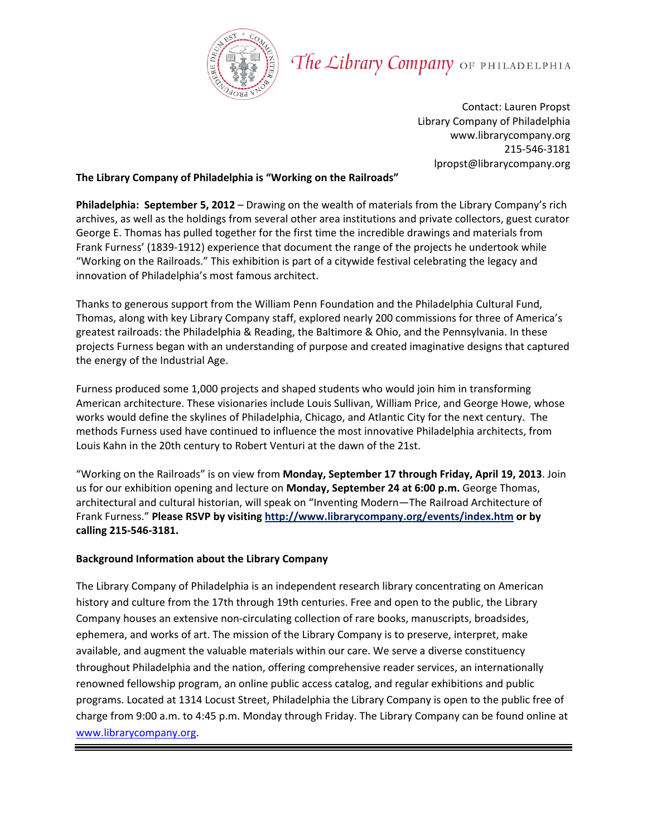

## The Library Company OF PHILADELPHIA

Contact: Lauren Propst Library Company of Philadelphia www.librarycompany.org 215‐546‐3181 lpropst@librarycompany.org

## **The Library Company of Philadelphia is "Working on the Railroads"**

**Philadelphia: September 5, 2012** – Drawing on the wealth of materials from the Library Company's rich archives, as well as the holdings from several other area institutions and private collectors, guest curator George E. Thomas has pulled together for the first time the incredible drawings and materials from Frank Furness' (1839-1912) experience that document the range of the projects he undertook while "Working on the Railroads." This exhibition is part of a citywide festival celebrating the legacy and innovation of Philadelphia's most famous architect.

Thanks to generous support from the William Penn Foundation and the Philadelphia Cultural Fund, Thomas, along with key Library Company staff, explored nearly 200 commissions for three of America's greatest railroads: the Philadelphia & Reading, the Baltimore & Ohio, and the Pennsylvania. In these projects Furness began with an understanding of purpose and created imaginative designs that captured the energy of the Industrial Age.

Furness produced some 1,000 projects and shaped students who would join him in transforming American architecture. These visionaries include Louis Sullivan, William Price, and George Howe, whose works would define the skylines of Philadelphia, Chicago, and Atlantic City for the next century. The methods Furness used have continued to influence the most innovative Philadelphia architects, from Louis Kahn in the 20th century to Robert Venturi at the dawn of the 21st.

"Working on the Railroads" is on view from **Monday, September 17 through Friday, April 19, 2013**. Join us for our exhibition opening and lecture on **Monday, September 24 at 6:00 p.m.** George Thomas, architectural and cultural historian, will speak on "Inventing Modern—The Railroad Architecture of Frank Furness." **Please RSVP by visiting http://www.librarycompany.org/events/index.htm or by calling 215‐546‐3181.** 

## **Background Information about the Library Company**

The Library Company of Philadelphia is an independent research library concentrating on American history and culture from the 17th through 19th centuries. Free and open to the public, the Library Company houses an extensive non-circulating collection of rare books, manuscripts, broadsides, ephemera, and works of art. The mission of the Library Company is to preserve, interpret, make available, and augment the valuable materials within our care. We serve a diverse constituency throughout Philadelphia and the nation, offering comprehensive reader services, an internationally renowned fellowship program, an online public access catalog, and regular exhibitions and public programs. Located at 1314 Locust Street, Philadelphia the Library Company is open to the public free of charge from 9:00 a.m. to 4:45 p.m. Monday through Friday. The Library Company can be found online at www.librarycompany.org.